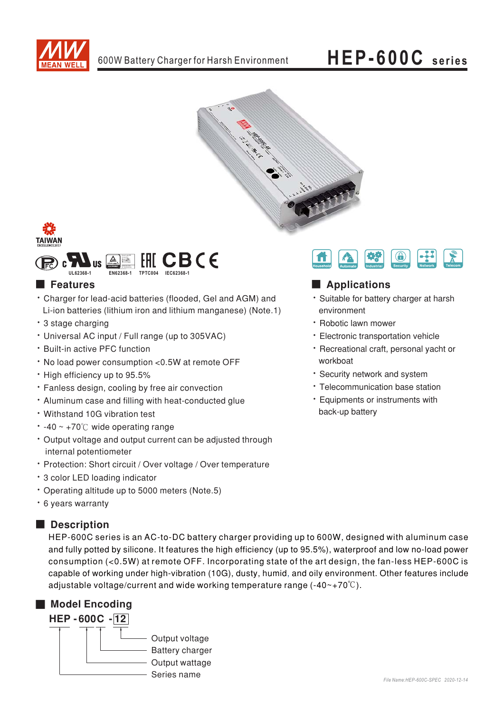

# HEP-600C series





# **Features**

- Charger for lead-acid batteries (flooded, Gel and AGM) and Li-ion batteries (lithium iron and lithium manganese) (Note.1)
- · 3 stage charging
- Universal AC input / Full range (up to 305VAC)
- · Built-in active PFC function
- . No load power consumption <0.5W at remote OFF
- High efficiency up to 95.5%
- · Fanless design, cooling by free air convection
- . Aluminum case and filling with heat-conducted glue
- Withstand 10G vibration test
- $\cdot$  -40 ~ +70°C wide operating range
- Output voltage and output current can be adjusted through internal potentiometer
- Protection: Short circuit / Over voltage / Over temperature
- \* 3 color LED loading indicator
- Operating altitude up to 5000 meters (Note.5)
- \* 6 years warranty

## Description

HEP-600C series is an AC-to-DC battery charger providing up to 600W, designed with aluminum case and fully potted by silicone. It features the high efficiency (up to 95.5%), waterproof and low no-load power consumption (<0.5W) at remote OFF. Incorporating state of the art design, the fan-less HEP-600C is capable of working under high-vibration (10G), dusty, humid, and oily environment. Other features include adjustable voltage/current and wide working temperature range  $(-40-+70^{\circ}\text{C})$ .





# Applications

- · Suitable for battery charger at harsh environment
- · Robotic lawn mower
- · Electronic transportation vehicle
- · Recreational craft, personal yacht or workboat
- · Security network and system
- · Telecommunication base station
- Equipments or instruments with back-up battery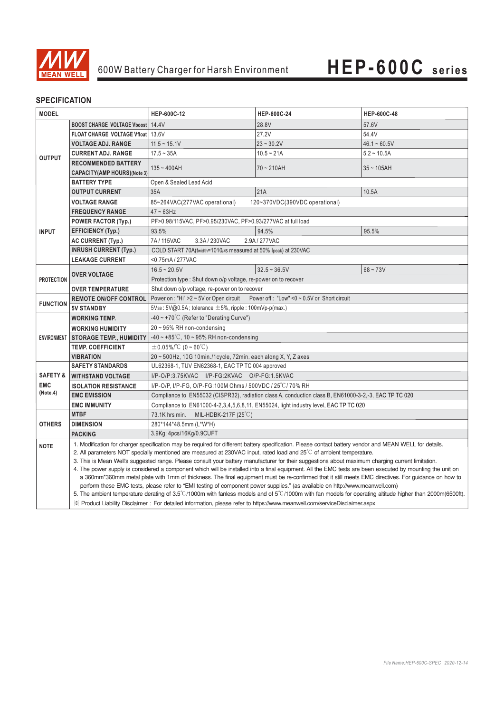

### **SPECIFICATION**

| <b>MODEL</b>           |                                                                                                                                                                                                                                                                                                                                                                                                                                                                        | HEP-600C-12                                                                                                                                                                                                                                                                                                    | HEP-600C-24    | <b>HEP-600C-48</b> |
|------------------------|------------------------------------------------------------------------------------------------------------------------------------------------------------------------------------------------------------------------------------------------------------------------------------------------------------------------------------------------------------------------------------------------------------------------------------------------------------------------|----------------------------------------------------------------------------------------------------------------------------------------------------------------------------------------------------------------------------------------------------------------------------------------------------------------|----------------|--------------------|
| <b>OUTPUT</b>          | <b>BOOST CHARGE VOLTAGE Vboost   14.4V</b>                                                                                                                                                                                                                                                                                                                                                                                                                             |                                                                                                                                                                                                                                                                                                                | 28.8V          | 57.6V              |
|                        | FLOAT CHARGE VOLTAGE Vfloat   13.6V                                                                                                                                                                                                                                                                                                                                                                                                                                    |                                                                                                                                                                                                                                                                                                                | 27.2V          | 54.4V              |
|                        | <b>VOLTAGE ADJ. RANGE</b>                                                                                                                                                                                                                                                                                                                                                                                                                                              | $11.5 - 15.1V$                                                                                                                                                                                                                                                                                                 | $23 - 30.2V$   | $46.1 - 60.5V$     |
|                        | <b>CURRENT ADJ. RANGE</b>                                                                                                                                                                                                                                                                                                                                                                                                                                              | $17.5 - 35A$                                                                                                                                                                                                                                                                                                   | $10.5 - 21A$   | $5.2 - 10.5A$      |
|                        | <b>RECOMMENDED BATTERY</b>                                                                                                                                                                                                                                                                                                                                                                                                                                             | $135 - 400AH$                                                                                                                                                                                                                                                                                                  | $70 - 210AH$   | $35 - 105AH$       |
|                        | <b>CAPACITY(AMP HOURS)(Note 3)</b>                                                                                                                                                                                                                                                                                                                                                                                                                                     |                                                                                                                                                                                                                                                                                                                |                |                    |
|                        | <b>BATTERY TYPE</b>                                                                                                                                                                                                                                                                                                                                                                                                                                                    | Open & Sealed Lead Acid                                                                                                                                                                                                                                                                                        |                |                    |
|                        | <b>OUTPUT CURRENT</b>                                                                                                                                                                                                                                                                                                                                                                                                                                                  | 35A                                                                                                                                                                                                                                                                                                            | 21A            | 10.5A              |
| <b>INPUT</b>           | <b>VOLTAGE RANGE</b>                                                                                                                                                                                                                                                                                                                                                                                                                                                   | 85~264VAC(277VAC operational)<br>120~370VDC(390VDC operational)                                                                                                                                                                                                                                                |                |                    |
|                        | <b>FREQUENCY RANGE</b>                                                                                                                                                                                                                                                                                                                                                                                                                                                 | $47 - 63$ Hz                                                                                                                                                                                                                                                                                                   |                |                    |
|                        | <b>POWER FACTOR (Typ.)</b>                                                                                                                                                                                                                                                                                                                                                                                                                                             | PF>0.98/115VAC, PF>0.95/230VAC, PF>0.93/277VAC at full load                                                                                                                                                                                                                                                    |                |                    |
|                        | <b>EFFICIENCY (Typ.)</b>                                                                                                                                                                                                                                                                                                                                                                                                                                               | 93.5%                                                                                                                                                                                                                                                                                                          | 94.5%          | 95.5%              |
|                        | <b>AC CURRENT (Typ.)</b>                                                                                                                                                                                                                                                                                                                                                                                                                                               | 3.3A/230VAC<br>7A/115VAC<br>2.9A/277VAC                                                                                                                                                                                                                                                                        |                |                    |
|                        | <b>INRUSH CURRENT (Typ.)</b>                                                                                                                                                                                                                                                                                                                                                                                                                                           | COLD START 70A(twidth=1010µs measured at 50% Ipeak) at 230VAC                                                                                                                                                                                                                                                  |                |                    |
|                        | <b>LEAKAGE CURRENT</b>                                                                                                                                                                                                                                                                                                                                                                                                                                                 | <0.75mA/277VAC                                                                                                                                                                                                                                                                                                 |                |                    |
| <b>PROTECTION</b>      | <b>OVER VOLTAGE</b>                                                                                                                                                                                                                                                                                                                                                                                                                                                    | $16.5 - 20.5V$                                                                                                                                                                                                                                                                                                 | $32.5 - 36.5V$ | $68 - 73V$         |
|                        |                                                                                                                                                                                                                                                                                                                                                                                                                                                                        | Protection type: Shut down o/p voltage, re-power on to recover                                                                                                                                                                                                                                                 |                |                    |
|                        | Shut down o/p voltage, re-power on to recover<br><b>OVER TEMPERATURE</b>                                                                                                                                                                                                                                                                                                                                                                                               |                                                                                                                                                                                                                                                                                                                |                |                    |
| <b>FUNCTION</b>        | <b>REMOTE ON/OFF CONTROL</b>                                                                                                                                                                                                                                                                                                                                                                                                                                           | Power on : "Hi" > 2 ~ 5V or Open circuit Power off : "Low" < 0 ~ 0.5V or Short circuit                                                                                                                                                                                                                         |                |                    |
|                        | <b>5V STANDBY</b>                                                                                                                                                                                                                                                                                                                                                                                                                                                      | $5Vs_B: 5V@0.5A$ ; tolerance $\pm 5%$ , ripple : 100mVp-p(max.)                                                                                                                                                                                                                                                |                |                    |
| <b>ENVIRONMENT</b>     | <b>WORKING TEMP.</b>                                                                                                                                                                                                                                                                                                                                                                                                                                                   | $-40 \sim +70^{\circ}$ (Refer to "Derating Curve")                                                                                                                                                                                                                                                             |                |                    |
|                        | <b>WORKING HUMIDITY</b>                                                                                                                                                                                                                                                                                                                                                                                                                                                | $20 \sim 95\%$ RH non-condensing                                                                                                                                                                                                                                                                               |                |                    |
|                        | <b>STORAGE TEMP., HUMIDITY</b>                                                                                                                                                                                                                                                                                                                                                                                                                                         | $-40$ ~ +85°C, 10 ~ 95% RH non-condensing                                                                                                                                                                                                                                                                      |                |                    |
|                        | <b>TEMP. COEFFICIENT</b>                                                                                                                                                                                                                                                                                                                                                                                                                                               | $\pm$ 0.05%/°C (0 ~ 60°C)                                                                                                                                                                                                                                                                                      |                |                    |
|                        | <b>VIBRATION</b>                                                                                                                                                                                                                                                                                                                                                                                                                                                       | 20 ~ 500Hz, 10G 10min./1cycle, 72min. each along X, Y, Z axes                                                                                                                                                                                                                                                  |                |                    |
|                        | <b>SAFETY STANDARDS</b>                                                                                                                                                                                                                                                                                                                                                                                                                                                | UL62368-1, TUV EN62368-1, EAC TP TC 004 approved                                                                                                                                                                                                                                                               |                |                    |
| <b>SAFETY &amp;</b>    | <b>WITHSTAND VOLTAGE</b>                                                                                                                                                                                                                                                                                                                                                                                                                                               | I/P-O/P:3.75KVAC I/P-FG:2KVAC O/P-FG:1.5KVAC                                                                                                                                                                                                                                                                   |                |                    |
| <b>EMC</b><br>(Note.4) | <b>ISOLATION RESISTANCE</b>                                                                                                                                                                                                                                                                                                                                                                                                                                            | I/P-O/P, I/P-FG, O/P-FG:100M Ohms / 500VDC / 25 °C/ 70% RH                                                                                                                                                                                                                                                     |                |                    |
|                        | <b>EMC EMISSION</b>                                                                                                                                                                                                                                                                                                                                                                                                                                                    | Compliance to EN55032 (CISPR32), radiation class A, conduction class B, EN61000-3-2,-3, EAC TP TC 020                                                                                                                                                                                                          |                |                    |
|                        | <b>EMC IMMUNITY</b>                                                                                                                                                                                                                                                                                                                                                                                                                                                    | Compliance to EN61000-4-2,3,4,5,6,8,11, EN55024, light industry level, EAC TP TC 020                                                                                                                                                                                                                           |                |                    |
| <b>OTHERS</b>          | <b>MTBF</b>                                                                                                                                                                                                                                                                                                                                                                                                                                                            | 73.1K hrs min. MIL-HDBK-217F $(25^{\circ}C)$                                                                                                                                                                                                                                                                   |                |                    |
|                        | <b>DIMENSION</b>                                                                                                                                                                                                                                                                                                                                                                                                                                                       | 280*144*48.5mm (L*W*H)                                                                                                                                                                                                                                                                                         |                |                    |
|                        | <b>PACKING</b>                                                                                                                                                                                                                                                                                                                                                                                                                                                         | 3.9Kg; 4pcs/16Kg/0.9CUFT                                                                                                                                                                                                                                                                                       |                |                    |
| <b>NOTE</b>            |                                                                                                                                                                                                                                                                                                                                                                                                                                                                        | 1. Modification for charger specification may be required for different battery specification. Please contact battery vendor and MEAN WELL for details.                                                                                                                                                        |                |                    |
|                        |                                                                                                                                                                                                                                                                                                                                                                                                                                                                        | 2. All parameters NOT specially mentioned are measured at 230VAC input, rated load and $25^{\circ}$ of ambient temperature.                                                                                                                                                                                    |                |                    |
|                        |                                                                                                                                                                                                                                                                                                                                                                                                                                                                        | 3. This is Mean Well's suggested range. Please consult your battery manufacturer for their suggestions about maximum charging current limitation.<br>4. The power supply is considered a component which will be installed into a final equipment. All the EMC tests are been executed by mounting the unit on |                |                    |
|                        | a 360mm*360mm metal plate with 1mm of thickness. The final equipment must be re-confirmed that it still meets EMC directives. For guidance on how to<br>perform these EMC tests, please refer to "EMI testing of component power supplies." (as available on http://www.meanwell.com)<br>5. The ambient temperature derating of $3.5^{\circ}$ C/1000m with fanless models and of $5^{\circ}$ C/1000m with fan models for operating altitude higher than 2000m(6500ft). |                                                                                                                                                                                                                                                                                                                |                |                    |
|                        |                                                                                                                                                                                                                                                                                                                                                                                                                                                                        |                                                                                                                                                                                                                                                                                                                |                |                    |
|                        |                                                                                                                                                                                                                                                                                                                                                                                                                                                                        |                                                                                                                                                                                                                                                                                                                |                |                    |
|                        |                                                                                                                                                                                                                                                                                                                                                                                                                                                                        | X Product Liability Disclaimer: For detailed information, please refer to https://www.meanwell.com/serviceDisclaimer.aspx                                                                                                                                                                                      |                |                    |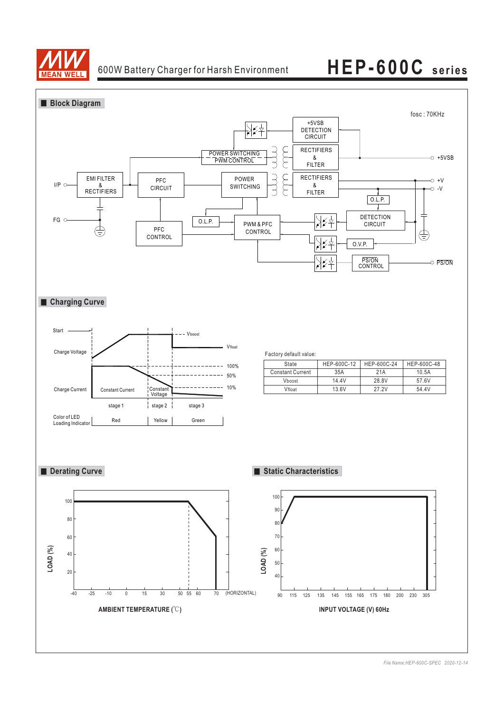